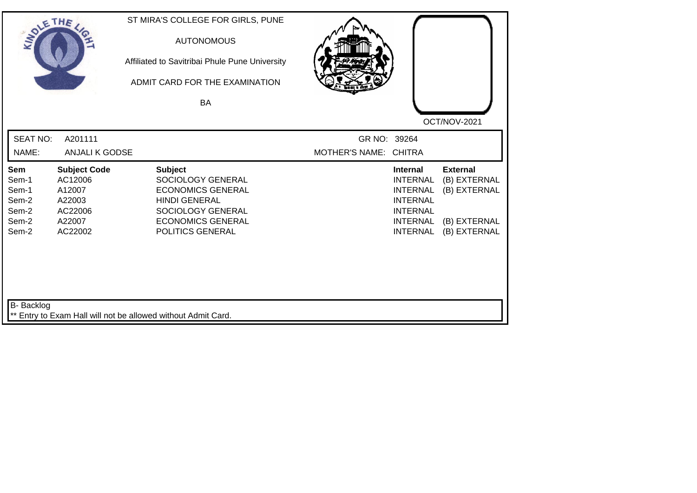| SOLETHE ,                                                        |                                                                                    | ST MIRA'S COLLEGE FOR GIRLS, PUNE<br><b>AUTONOMOUS</b><br>Affiliated to Savitribai Phule Pune University<br>ADMIT CARD FOR THE EXAMINATION<br><b>BA</b>      |                                       |                                                                                                                                   | OCT/NOV-2021                                                                    |
|------------------------------------------------------------------|------------------------------------------------------------------------------------|--------------------------------------------------------------------------------------------------------------------------------------------------------------|---------------------------------------|-----------------------------------------------------------------------------------------------------------------------------------|---------------------------------------------------------------------------------|
| <b>SEAT NO:</b><br>NAME:                                         | A201111<br><b>ANJALI K GODSE</b>                                                   |                                                                                                                                                              | GR NO: 39264<br>MOTHER'S NAME: CHITRA |                                                                                                                                   |                                                                                 |
| <b>Sem</b><br>Sem-1<br>Sem-1<br>Sem-2<br>Sem-2<br>Sem-2<br>Sem-2 | <b>Subject Code</b><br>AC12006<br>A12007<br>A22003<br>AC22006<br>A22007<br>AC22002 | <b>Subject</b><br>SOCIOLOGY GENERAL<br><b>ECONOMICS GENERAL</b><br><b>HINDI GENERAL</b><br>SOCIOLOGY GENERAL<br><b>ECONOMICS GENERAL</b><br>POLITICS GENERAL |                                       | <b>Internal</b><br><b>INTERNAL</b><br><b>INTERNAL</b><br><b>INTERNAL</b><br><b>INTERNAL</b><br><b>INTERNAL</b><br><b>INTERNAL</b> | <b>External</b><br>(B) EXTERNAL<br>(B) EXTERNAL<br>(B) EXTERNAL<br>(B) EXTERNAL |
| B- Backlog                                                       |                                                                                    | ** Entry to Exam Hall will not be allowed without Admit Card.                                                                                                |                                       |                                                                                                                                   |                                                                                 |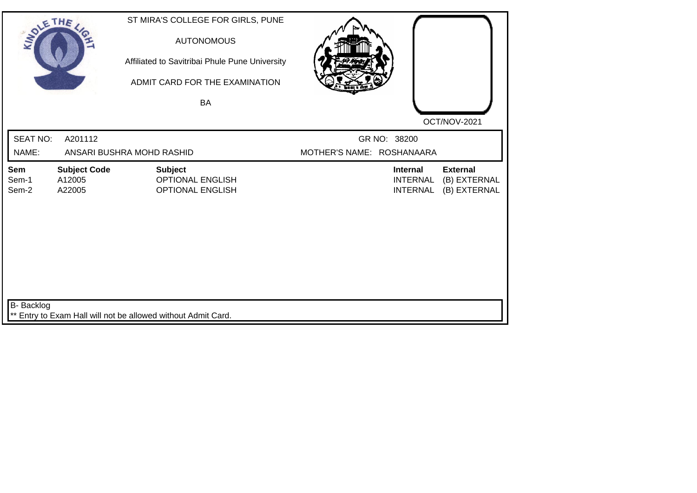| SOLETHE,              |                                         | ST MIRA'S COLLEGE FOR GIRLS, PUNE<br><b>AUTONOMOUS</b><br>Affiliated to Savitribai Phule Pune University<br>ADMIT CARD FOR THE EXAMINATION<br><b>BA</b> |                           |                                                       | OCT/NOV-2021                                    |
|-----------------------|-----------------------------------------|---------------------------------------------------------------------------------------------------------------------------------------------------------|---------------------------|-------------------------------------------------------|-------------------------------------------------|
| <b>SEAT NO:</b>       | A201112                                 |                                                                                                                                                         |                           | GR NO: 38200                                          |                                                 |
| NAME:                 |                                         | ANSARI BUSHRA MOHD RASHID                                                                                                                               | MOTHER'S NAME: ROSHANAARA |                                                       |                                                 |
| Sem<br>Sem-1<br>Sem-2 | <b>Subject Code</b><br>A12005<br>A22005 | <b>Subject</b><br><b>OPTIONAL ENGLISH</b><br><b>OPTIONAL ENGLISH</b>                                                                                    |                           | <b>Internal</b><br><b>INTERNAL</b><br><b>INTERNAL</b> | <b>External</b><br>(B) EXTERNAL<br>(B) EXTERNAL |
| B- Backlog            |                                         | ** Entry to Exam Hall will not be allowed without Admit Card.                                                                                           |                           |                                                       |                                                 |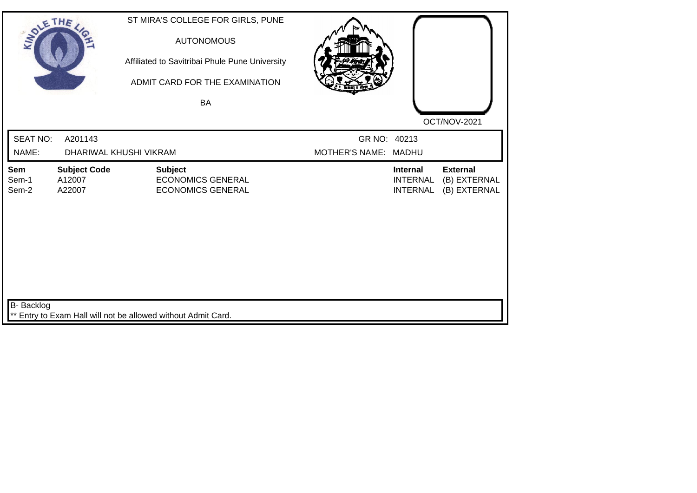| SOLETHE,                 |                                         | ST MIRA'S COLLEGE FOR GIRLS, PUNE<br><b>AUTONOMOUS</b><br>Affiliated to Savitribai Phule Pune University<br>ADMIT CARD FOR THE EXAMINATION |                                      |                                                       |                                                 |
|--------------------------|-----------------------------------------|--------------------------------------------------------------------------------------------------------------------------------------------|--------------------------------------|-------------------------------------------------------|-------------------------------------------------|
|                          |                                         | <b>BA</b>                                                                                                                                  |                                      |                                                       | OCT/NOV-2021                                    |
| <b>SEAT NO:</b><br>NAME: | A201143                                 | DHARIWAL KHUSHI VIKRAM                                                                                                                     | GR NO: 40213<br>MOTHER'S NAME: MADHU |                                                       |                                                 |
| Sem<br>Sem-1<br>Sem-2    | <b>Subject Code</b><br>A12007<br>A22007 | <b>Subject</b><br><b>ECONOMICS GENERAL</b><br><b>ECONOMICS GENERAL</b>                                                                     |                                      | <b>Internal</b><br><b>INTERNAL</b><br><b>INTERNAL</b> | <b>External</b><br>(B) EXTERNAL<br>(B) EXTERNAL |
| B- Backlog               |                                         | ** Entry to Exam Hall will not be allowed without Admit Card.                                                                              |                                      |                                                       |                                                 |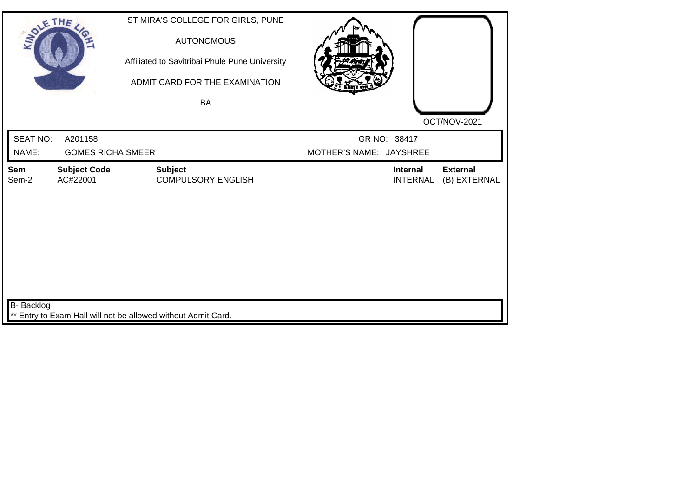| SOLETHE ,       |                                 | ST MIRA'S COLLEGE FOR GIRLS, PUNE<br><b>AUTONOMOUS</b><br>Affiliated to Savitribai Phule Pune University<br>ADMIT CARD FOR THE EXAMINATION<br><b>BA</b> |                         |                                    | OCT/NOV-2021                    |
|-----------------|---------------------------------|---------------------------------------------------------------------------------------------------------------------------------------------------------|-------------------------|------------------------------------|---------------------------------|
| <b>SEAT NO:</b> | A201158                         |                                                                                                                                                         |                         | GR NO: 38417                       |                                 |
| NAME:           | <b>GOMES RICHA SMEER</b>        |                                                                                                                                                         | MOTHER'S NAME: JAYSHREE |                                    |                                 |
| Sem<br>Sem-2    | <b>Subject Code</b><br>AC#22001 | <b>Subject</b><br><b>COMPULSORY ENGLISH</b>                                                                                                             |                         | <b>Internal</b><br><b>INTERNAL</b> | <b>External</b><br>(B) EXTERNAL |
| B- Backlog      |                                 | ** Entry to Exam Hall will not be allowed without Admit Card.                                                                                           |                         |                                    |                                 |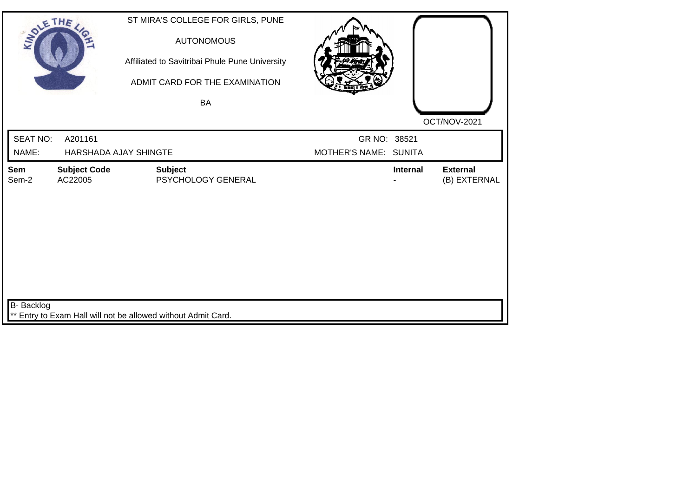| SOLE THE          |                                | ST MIRA'S COLLEGE FOR GIRLS, PUNE<br><b>AUTONOMOUS</b><br>Affiliated to Savitribai Phule Pune University<br>ADMIT CARD FOR THE EXAMINATION |                       |                 |                                 |
|-------------------|--------------------------------|--------------------------------------------------------------------------------------------------------------------------------------------|-----------------------|-----------------|---------------------------------|
|                   |                                | <b>BA</b>                                                                                                                                  |                       |                 |                                 |
|                   |                                |                                                                                                                                            |                       |                 | OCT/NOV-2021                    |
| <b>SEAT NO:</b>   | A201161                        |                                                                                                                                            | GR NO: 38521          |                 |                                 |
| NAME:             |                                | HARSHADA AJAY SHINGTE                                                                                                                      | MOTHER'S NAME: SUNITA |                 |                                 |
| Sem<br>Sem-2      | <b>Subject Code</b><br>AC22005 | <b>Subject</b><br>PSYCHOLOGY GENERAL                                                                                                       |                       | <b>Internal</b> | <b>External</b><br>(B) EXTERNAL |
| <b>B-</b> Backlog |                                | ** Entry to Exam Hall will not be allowed without Admit Card.                                                                              |                       |                 |                                 |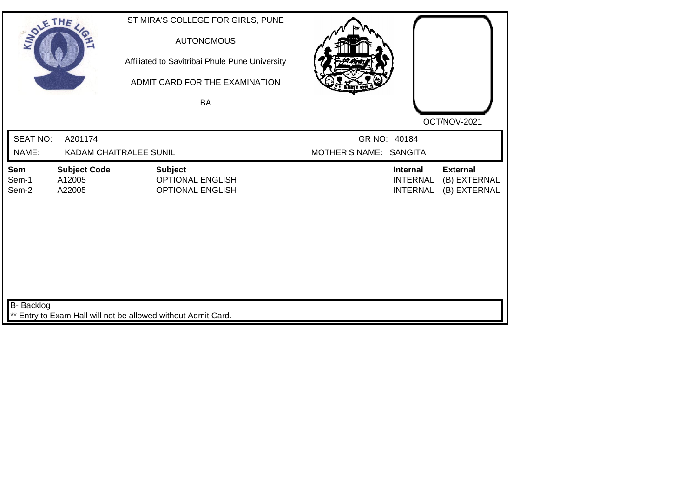| SOLETHE,                 |                                         | ST MIRA'S COLLEGE FOR GIRLS, PUNE<br><b>AUTONOMOUS</b><br>Affiliated to Savitribai Phule Pune University<br>ADMIT CARD FOR THE EXAMINATION<br>BA |                                        |                                                       |                                                 |
|--------------------------|-----------------------------------------|--------------------------------------------------------------------------------------------------------------------------------------------------|----------------------------------------|-------------------------------------------------------|-------------------------------------------------|
| <b>SEAT NO:</b><br>NAME: | A201174                                 | <b>KADAM CHAITRALEE SUNIL</b>                                                                                                                    | GR NO: 40184<br>MOTHER'S NAME: SANGITA |                                                       | OCT/NOV-2021                                    |
| Sem<br>Sem-1<br>Sem-2    | <b>Subject Code</b><br>A12005<br>A22005 | <b>Subject</b><br><b>OPTIONAL ENGLISH</b><br><b>OPTIONAL ENGLISH</b>                                                                             |                                        | <b>Internal</b><br><b>INTERNAL</b><br><b>INTERNAL</b> | <b>External</b><br>(B) EXTERNAL<br>(B) EXTERNAL |
| B- Backlog               |                                         | ** Entry to Exam Hall will not be allowed without Admit Card.                                                                                    |                                        |                                                       |                                                 |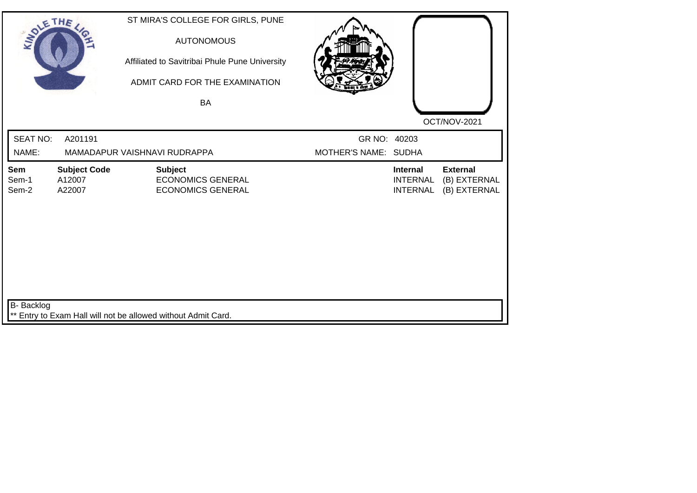| SOLE THE                 |                                         | ST MIRA'S COLLEGE FOR GIRLS, PUNE<br><b>AUTONOMOUS</b><br>Affiliated to Savitribai Phule Pune University<br>ADMIT CARD FOR THE EXAMINATION<br><b>BA</b> |                                      |                                                       |                                                 |
|--------------------------|-----------------------------------------|---------------------------------------------------------------------------------------------------------------------------------------------------------|--------------------------------------|-------------------------------------------------------|-------------------------------------------------|
| <b>SEAT NO:</b><br>NAME: | A201191                                 | MAMADAPUR VAISHNAVI RUDRAPPA                                                                                                                            | GR NO: 40203<br>MOTHER'S NAME: SUDHA |                                                       | OCT/NOV-2021                                    |
| Sem<br>Sem-1<br>Sem-2    | <b>Subject Code</b><br>A12007<br>A22007 | <b>Subject</b><br><b>ECONOMICS GENERAL</b><br><b>ECONOMICS GENERAL</b>                                                                                  |                                      | <b>Internal</b><br><b>INTERNAL</b><br><b>INTERNAL</b> | <b>External</b><br>(B) EXTERNAL<br>(B) EXTERNAL |
| B- Backlog               |                                         | ** Entry to Exam Hall will not be allowed without Admit Card.                                                                                           |                                      |                                                       |                                                 |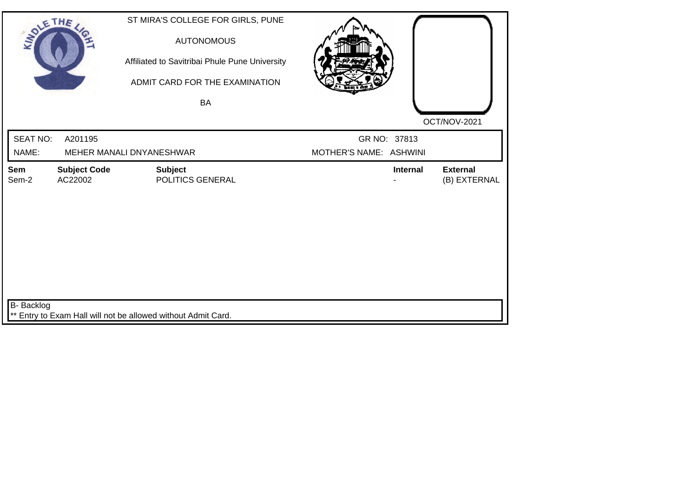| SOLETHE ,       |                                | ST MIRA'S COLLEGE FOR GIRLS, PUNE<br><b>AUTONOMOUS</b><br>Affiliated to Savitribai Phule Pune University<br>ADMIT CARD FOR THE EXAMINATION |                        |                 |                                 |
|-----------------|--------------------------------|--------------------------------------------------------------------------------------------------------------------------------------------|------------------------|-----------------|---------------------------------|
|                 |                                | <b>BA</b>                                                                                                                                  |                        |                 |                                 |
|                 |                                |                                                                                                                                            |                        |                 | OCT/NOV-2021                    |
| <b>SEAT NO:</b> | A201195                        |                                                                                                                                            |                        | GR NO: 37813    |                                 |
| NAME:           |                                | MEHER MANALI DNYANESHWAR                                                                                                                   | MOTHER'S NAME: ASHWINI |                 |                                 |
| Sem<br>Sem-2    | <b>Subject Code</b><br>AC22002 | <b>Subject</b><br>POLITICS GENERAL                                                                                                         |                        | <b>Internal</b> | <b>External</b><br>(B) EXTERNAL |
| B- Backlog      |                                | Entry to Exam Hall will not be allowed without Admit Card.                                                                                 |                        |                 |                                 |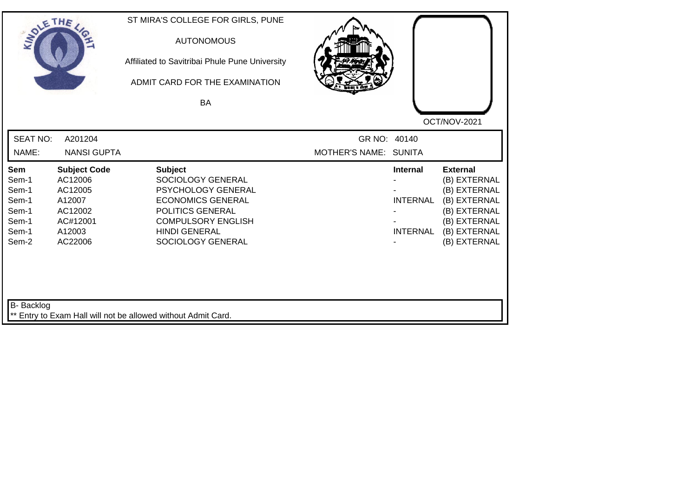| <b>SOLETHE</b>                                                     |                                                                                                 | ST MIRA'S COLLEGE FOR GIRLS, PUNE<br><b>AUTONOMOUS</b><br>Affiliated to Savitribai Phule Pune University<br>ADMIT CARD FOR THE EXAMINATION<br><b>BA</b>                             |                                       |                                                       | OCT/NOV-2021                                                                                                                    |
|--------------------------------------------------------------------|-------------------------------------------------------------------------------------------------|-------------------------------------------------------------------------------------------------------------------------------------------------------------------------------------|---------------------------------------|-------------------------------------------------------|---------------------------------------------------------------------------------------------------------------------------------|
| <b>SEAT NO:</b><br>NAME:                                           | A201204<br><b>NANSI GUPTA</b>                                                                   |                                                                                                                                                                                     | GR NO: 40140<br>MOTHER'S NAME: SUNITA |                                                       |                                                                                                                                 |
| Sem<br>Sem-1<br>Sem-1<br>Sem-1<br>Sem-1<br>Sem-1<br>Sem-1<br>Sem-2 | <b>Subject Code</b><br>AC12006<br>AC12005<br>A12007<br>AC12002<br>AC#12001<br>A12003<br>AC22006 | <b>Subject</b><br>SOCIOLOGY GENERAL<br>PSYCHOLOGY GENERAL<br><b>ECONOMICS GENERAL</b><br>POLITICS GENERAL<br><b>COMPULSORY ENGLISH</b><br><b>HINDI GENERAL</b><br>SOCIOLOGY GENERAL |                                       | <b>Internal</b><br><b>INTERNAL</b><br><b>INTERNAL</b> | <b>External</b><br>(B) EXTERNAL<br>(B) EXTERNAL<br>(B) EXTERNAL<br>(B) EXTERNAL<br>(B) EXTERNAL<br>(B) EXTERNAL<br>(B) EXTERNAL |
| B- Backlog                                                         |                                                                                                 | ** Entry to Exam Hall will not be allowed without Admit Card.                                                                                                                       |                                       |                                                       |                                                                                                                                 |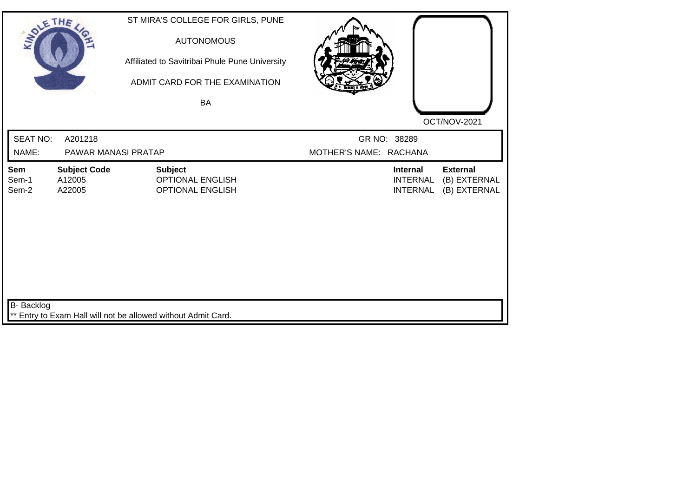| SOLE THE              |                                         | ST MIRA'S COLLEGE FOR GIRLS, PUNE<br><b>AUTONOMOUS</b><br>Affiliated to Savitribai Phule Pune University<br>ADMIT CARD FOR THE EXAMINATION<br><b>BA</b> |                        |                                                       | OCT/NOV-2021                                    |
|-----------------------|-----------------------------------------|---------------------------------------------------------------------------------------------------------------------------------------------------------|------------------------|-------------------------------------------------------|-------------------------------------------------|
| <b>SEAT NO:</b>       | A201218                                 |                                                                                                                                                         | GR NO: 38289           |                                                       |                                                 |
| NAME:                 | PAWAR MANASI PRATAP                     |                                                                                                                                                         | MOTHER'S NAME: RACHANA |                                                       |                                                 |
| Sem<br>Sem-1<br>Sem-2 | <b>Subject Code</b><br>A12005<br>A22005 | <b>Subject</b><br><b>OPTIONAL ENGLISH</b><br><b>OPTIONAL ENGLISH</b>                                                                                    |                        | <b>Internal</b><br><b>INTERNAL</b><br><b>INTERNAL</b> | <b>External</b><br>(B) EXTERNAL<br>(B) EXTERNAL |
| B- Backlog            |                                         | ** Entry to Exam Hall will not be allowed without Admit Card.                                                                                           |                        |                                                       |                                                 |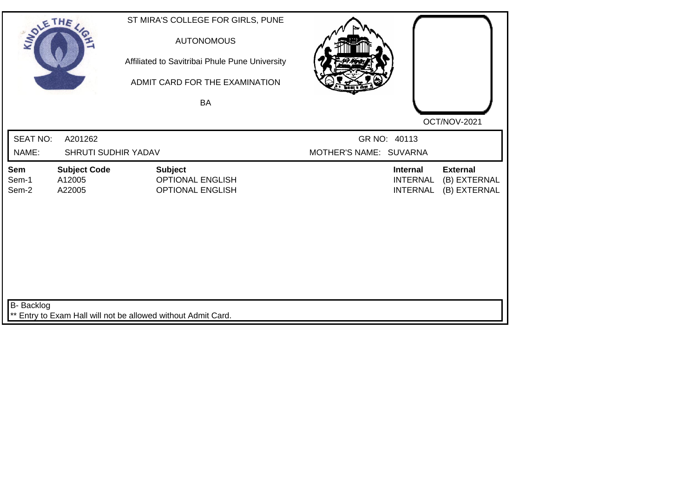| SOLE THE              |                                         | ST MIRA'S COLLEGE FOR GIRLS, PUNE<br><b>AUTONOMOUS</b><br>Affiliated to Savitribai Phule Pune University<br>ADMIT CARD FOR THE EXAMINATION<br><b>BA</b> |                        |                                                       | OCT/NOV-2021                                    |
|-----------------------|-----------------------------------------|---------------------------------------------------------------------------------------------------------------------------------------------------------|------------------------|-------------------------------------------------------|-------------------------------------------------|
| <b>SEAT NO:</b>       | A201262                                 |                                                                                                                                                         | GR NO: 40113           |                                                       |                                                 |
| NAME:                 | <b>SHRUTI SUDHIR YADAV</b>              |                                                                                                                                                         | MOTHER'S NAME: SUVARNA |                                                       |                                                 |
| Sem<br>Sem-1<br>Sem-2 | <b>Subject Code</b><br>A12005<br>A22005 | <b>Subject</b><br><b>OPTIONAL ENGLISH</b><br><b>OPTIONAL ENGLISH</b>                                                                                    |                        | <b>Internal</b><br><b>INTERNAL</b><br><b>INTERNAL</b> | <b>External</b><br>(B) EXTERNAL<br>(B) EXTERNAL |
| <b>B-</b> Backlog     |                                         | ** Entry to Exam Hall will not be allowed without Admit Card.                                                                                           |                        |                                                       |                                                 |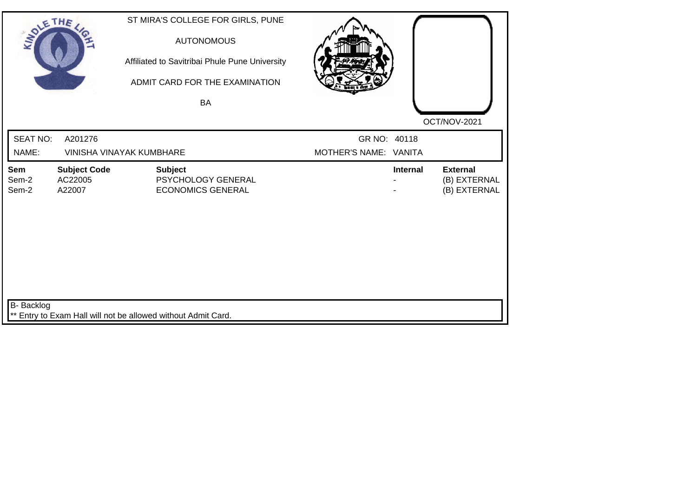| SOLETHE ,                |                                          | ST MIRA'S COLLEGE FOR GIRLS, PUNE<br><b>AUTONOMOUS</b><br>Affiliated to Savitribai Phule Pune University<br>ADMIT CARD FOR THE EXAMINATION<br><b>BA</b> |                                       |                 |                                                 |
|--------------------------|------------------------------------------|---------------------------------------------------------------------------------------------------------------------------------------------------------|---------------------------------------|-----------------|-------------------------------------------------|
|                          |                                          |                                                                                                                                                         |                                       |                 | OCT/NOV-2021                                    |
| <b>SEAT NO:</b><br>NAME: | A201276                                  | <b>VINISHA VINAYAK KUMBHARE</b>                                                                                                                         | GR NO: 40118<br>MOTHER'S NAME: VANITA |                 |                                                 |
| Sem<br>Sem-2<br>Sem-2    | <b>Subject Code</b><br>AC22005<br>A22007 | <b>Subject</b><br>PSYCHOLOGY GENERAL<br><b>ECONOMICS GENERAL</b>                                                                                        |                                       | <b>Internal</b> | <b>External</b><br>(B) EXTERNAL<br>(B) EXTERNAL |
| B- Backlog               |                                          | ** Entry to Exam Hall will not be allowed without Admit Card.                                                                                           |                                       |                 |                                                 |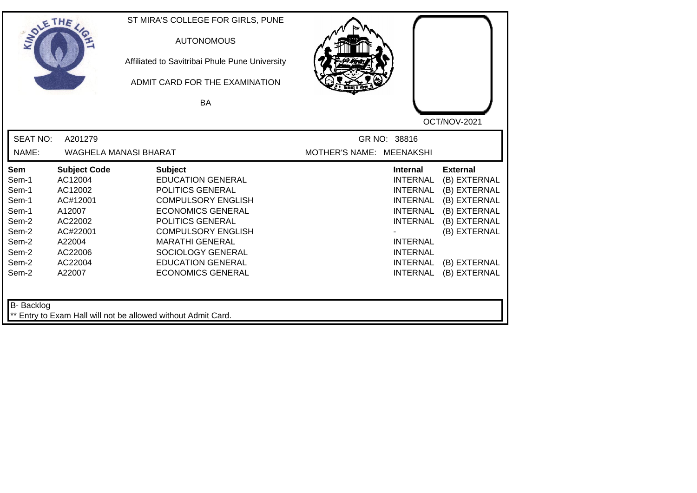| OCT/NOV-2021<br><b>SEAT NO:</b><br>A201279<br>GR NO: 38816<br>NAME:<br>WAGHELA MANASI BHARAT<br>MOTHER'S NAME: MEENAKSHI<br><b>Subject Code</b><br><b>Subject</b><br><b>External</b><br>Sem<br><b>Internal</b><br>AC12004<br><b>EDUCATION GENERAL</b><br><b>INTERNAL</b><br>Sem-1<br>Sem-1<br>AC12002<br>POLITICS GENERAL<br><b>INTERNAL</b><br><b>COMPULSORY ENGLISH</b><br>Sem-1<br>AC#12001<br><b>INTERNAL</b><br>Sem-1<br><b>ECONOMICS GENERAL</b><br>A12007<br><b>INTERNAL</b><br>Sem-2<br>AC22002<br><b>POLITICS GENERAL</b><br><b>INTERNAL</b><br>Sem-2<br>AC#22001<br><b>COMPULSORY ENGLISH</b><br>Sem-2<br><b>MARATHI GENERAL</b><br><b>INTERNAL</b><br>A22004<br>Sem-2<br>AC22006<br>SOCIOLOGY GENERAL<br><b>INTERNAL</b><br>Sem-2<br>AC22004<br><b>EDUCATION GENERAL</b><br><b>INTERNAL</b> | SOLETHE . |        | ST MIRA'S COLLEGE FOR GIRLS, PUNE<br><b>AUTONOMOUS</b><br>Affiliated to Savitribai Phule Pune University<br>ADMIT CARD FOR THE EXAMINATION<br><b>BA</b> |                 |                                                                                                                              |
|--------------------------------------------------------------------------------------------------------------------------------------------------------------------------------------------------------------------------------------------------------------------------------------------------------------------------------------------------------------------------------------------------------------------------------------------------------------------------------------------------------------------------------------------------------------------------------------------------------------------------------------------------------------------------------------------------------------------------------------------------------------------------------------------------------|-----------|--------|---------------------------------------------------------------------------------------------------------------------------------------------------------|-----------------|------------------------------------------------------------------------------------------------------------------------------|
|                                                                                                                                                                                                                                                                                                                                                                                                                                                                                                                                                                                                                                                                                                                                                                                                        |           |        |                                                                                                                                                         |                 |                                                                                                                              |
|                                                                                                                                                                                                                                                                                                                                                                                                                                                                                                                                                                                                                                                                                                                                                                                                        | Sem-2     | A22007 | <b>ECONOMICS GENERAL</b>                                                                                                                                | <b>INTERNAL</b> | (B) EXTERNAL<br>(B) EXTERNAL<br>(B) EXTERNAL<br>(B) EXTERNAL<br>(B) EXTERNAL<br>(B) EXTERNAL<br>(B) EXTERNAL<br>(B) EXTERNAL |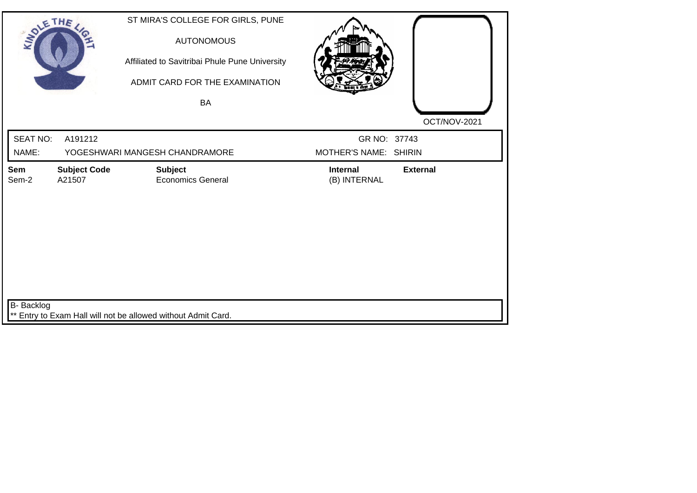| SOLE THE                 |                               | ST MIRA'S COLLEGE FOR GIRLS, PUNE<br><b>AUTONOMOUS</b><br>Affiliated to Savitribai Phule Pune University<br>ADMIT CARD FOR THE EXAMINATION<br><b>BA</b> |                                       | OCT/NOV-2021    |
|--------------------------|-------------------------------|---------------------------------------------------------------------------------------------------------------------------------------------------------|---------------------------------------|-----------------|
| <b>SEAT NO:</b><br>NAME: | A191212                       | YOGESHWARI MANGESH CHANDRAMORE                                                                                                                          | GR NO: 37743<br>MOTHER'S NAME: SHIRIN |                 |
| Sem<br>Sem-2             | <b>Subject Code</b><br>A21507 | <b>Subject</b><br><b>Economics General</b>                                                                                                              | Internal<br>(B) INTERNAL              | <b>External</b> |
| B- Backlog               |                               | ** Entry to Exam Hall will not be allowed without Admit Card.                                                                                           |                                       |                 |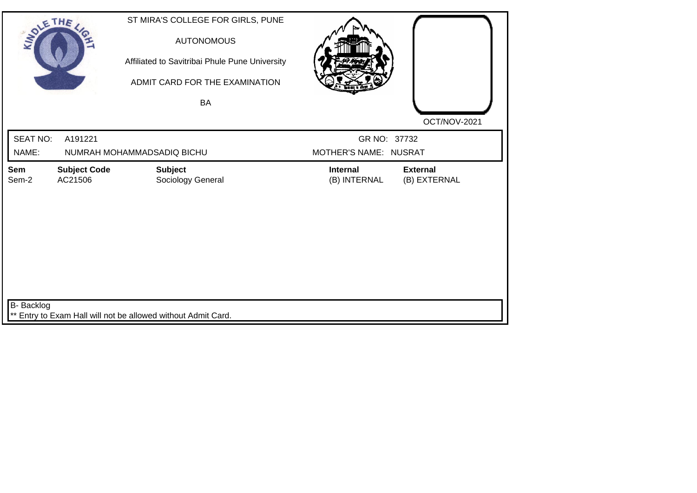| SOLETHE ,         |                                | ST MIRA'S COLLEGE FOR GIRLS, PUNE<br><b>AUTONOMOUS</b><br>Affiliated to Savitribai Phule Pune University<br>ADMIT CARD FOR THE EXAMINATION<br>BA |                                 | OCT/NOV-2021                    |  |
|-------------------|--------------------------------|--------------------------------------------------------------------------------------------------------------------------------------------------|---------------------------------|---------------------------------|--|
| <b>SEAT NO:</b>   | A191221                        |                                                                                                                                                  | GR NO: 37732                    |                                 |  |
| NAME:             |                                | NUMRAH MOHAMMADSADIQ BICHU                                                                                                                       | MOTHER'S NAME: NUSRAT           |                                 |  |
| Sem<br>Sem-2      | <b>Subject Code</b><br>AC21506 | <b>Subject</b><br>Sociology General                                                                                                              | <b>Internal</b><br>(B) INTERNAL | <b>External</b><br>(B) EXTERNAL |  |
| <b>B-</b> Backlog |                                | ** Entry to Exam Hall will not be allowed without Admit Card.                                                                                    |                                 |                                 |  |